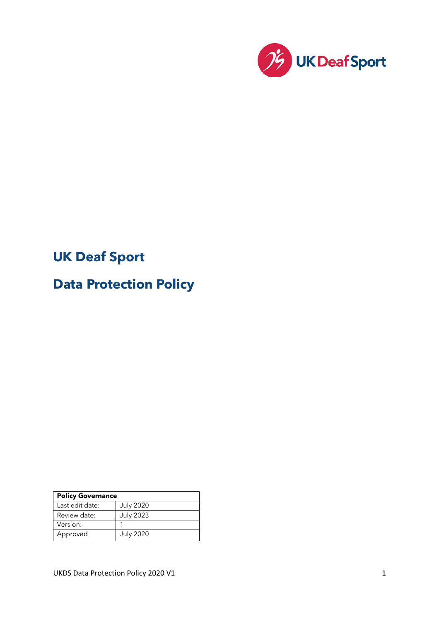

# **UK Deaf Sport**

# **Data Protection Policy**

| <b>Policy Governance</b> |                  |
|--------------------------|------------------|
| Last edit date:          | <b>July 2020</b> |
| Review date:             | <b>July 2023</b> |
| Version:                 |                  |
| Approved                 | <b>July 2020</b> |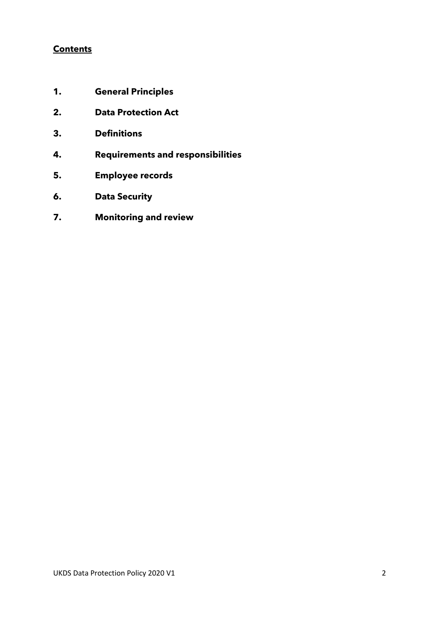#### **Contents**

- **1. General Principles**
- **2. Data Protection Act**
- **3. Definitions**
- **4. Requirements and responsibilities**
- **5. Employee records**
- **6. Data Security**
- **7. Monitoring and review**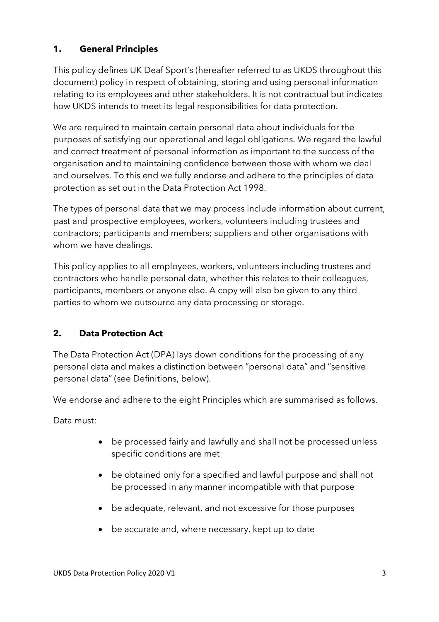## **1. General Principles**

This policy defines UK Deaf Sport's (hereafter referred to as UKDS throughout this document) policy in respect of obtaining, storing and using personal information relating to its employees and other stakeholders. It is not contractual but indicates how UKDS intends to meet its legal responsibilities for data protection.

We are required to maintain certain personal data about individuals for the purposes of satisfying our operational and legal obligations. We regard the lawful and correct treatment of personal information as important to the success of the organisation and to maintaining confidence between those with whom we deal and ourselves. To this end we fully endorse and adhere to the principles of data protection as set out in the Data Protection Act 1998.

The types of personal data that we may process include information about current, past and prospective employees, workers, volunteers including trustees and contractors; participants and members; suppliers and other organisations with whom we have dealings.

This policy applies to all employees, workers, volunteers including trustees and contractors who handle personal data, whether this relates to their colleagues, participants, members or anyone else. A copy will also be given to any third parties to whom we outsource any data processing or storage.

### **2. Data Protection Act**

The Data Protection Act (DPA) lays down conditions for the processing of any personal data and makes a distinction between "personal data" and "sensitive personal data" (see Definitions, below).

We endorse and adhere to the eight Principles which are summarised as follows.

Data must:

- be processed fairly and lawfully and shall not be processed unless specific conditions are met
- be obtained only for a specified and lawful purpose and shall not be processed in any manner incompatible with that purpose
- be adequate, relevant, and not excessive for those purposes
- be accurate and, where necessary, kept up to date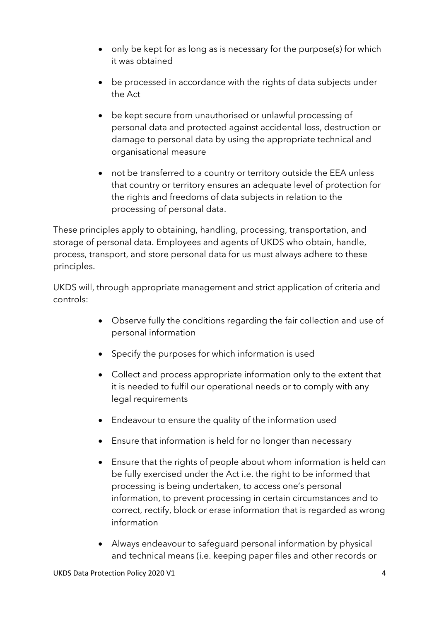- only be kept for as long as is necessary for the purpose(s) for which it was obtained
- be processed in accordance with the rights of data subjects under the Act
- be kept secure from unauthorised or unlawful processing of personal data and protected against accidental loss, destruction or damage to personal data by using the appropriate technical and organisational measure
- not be transferred to a country or territory outside the EEA unless that country or territory ensures an adequate level of protection for the rights and freedoms of data subjects in relation to the processing of personal data.

These principles apply to obtaining, handling, processing, transportation, and storage of personal data. Employees and agents of UKDS who obtain, handle, process, transport, and store personal data for us must always adhere to these principles.

UKDS will, through appropriate management and strict application of criteria and controls:

- Observe fully the conditions regarding the fair collection and use of personal information
- Specify the purposes for which information is used
- Collect and process appropriate information only to the extent that it is needed to fulfil our operational needs or to comply with any legal requirements
- Endeavour to ensure the quality of the information used
- Ensure that information is held for no longer than necessary
- Ensure that the rights of people about whom information is held can be fully exercised under the Act i.e. the right to be informed that processing is being undertaken, to access one's personal information, to prevent processing in certain circumstances and to correct, rectify, block or erase information that is regarded as wrong information
- Always endeavour to safeguard personal information by physical and technical means (i.e. keeping paper files and other records or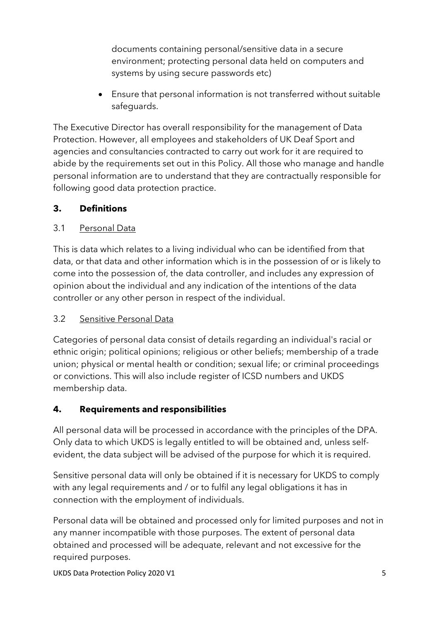documents containing personal/sensitive data in a secure environment; protecting personal data held on computers and systems by using secure passwords etc)

• Ensure that personal information is not transferred without suitable safeguards.

The Executive Director has overall responsibility for the management of Data Protection. However, all employees and stakeholders of UK Deaf Sport and agencies and consultancies contracted to carry out work for it are required to abide by the requirements set out in this Policy. All those who manage and handle personal information are to understand that they are contractually responsible for following good data protection practice.

## **3. Definitions**

## 3.1 Personal Data

This is data which relates to a living individual who can be identified from that data, or that data and other information which is in the possession of or is likely to come into the possession of, the data controller, and includes any expression of opinion about the individual and any indication of the intentions of the data controller or any other person in respect of the individual.

### 3.2 Sensitive Personal Data

Categories of personal data consist of details regarding an individual's racial or ethnic origin; political opinions; religious or other beliefs; membership of a trade union; physical or mental health or condition; sexual life; or criminal proceedings or convictions. This will also include register of ICSD numbers and UKDS membership data.

### **4. Requirements and responsibilities**

All personal data will be processed in accordance with the principles of the DPA. Only data to which UKDS is legally entitled to will be obtained and, unless selfevident, the data subject will be advised of the purpose for which it is required.

Sensitive personal data will only be obtained if it is necessary for UKDS to comply with any legal requirements and / or to fulfil any legal obligations it has in connection with the employment of individuals.

Personal data will be obtained and processed only for limited purposes and not in any manner incompatible with those purposes. The extent of personal data obtained and processed will be adequate, relevant and not excessive for the required purposes.

UKDS Data Protection Policy 2020 V1 5 and 2020 V1 5 and 2020 V1 5 and 2020 V1 5 and 2020 V1 5 and 2020 V1 5 and 2020 V1 5 and 2020 V1 5 and 2020 V1 6 and 2020 V1 6 and 2020 V1 6 and 2020 V1 6 and 2020 V1 6 and 2020 V1 6 an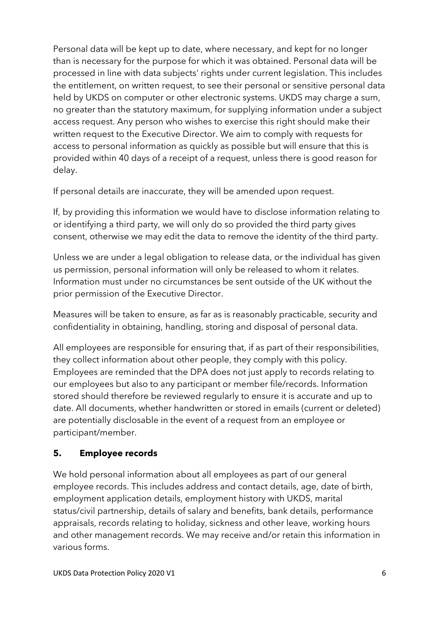Personal data will be kept up to date, where necessary, and kept for no longer than is necessary for the purpose for which it was obtained. Personal data will be processed in line with data subjects' rights under current legislation. This includes the entitlement, on written request, to see their personal or sensitive personal data held by UKDS on computer or other electronic systems. UKDS may charge a sum, no greater than the statutory maximum, for supplying information under a subject access request. Any person who wishes to exercise this right should make their written request to the Executive Director. We aim to comply with requests for access to personal information as quickly as possible but will ensure that this is provided within 40 days of a receipt of a request, unless there is good reason for delay.

If personal details are inaccurate, they will be amended upon request.

If, by providing this information we would have to disclose information relating to or identifying a third party, we will only do so provided the third party gives consent, otherwise we may edit the data to remove the identity of the third party.

Unless we are under a legal obligation to release data, or the individual has given us permission, personal information will only be released to whom it relates. Information must under no circumstances be sent outside of the UK without the prior permission of the Executive Director.

Measures will be taken to ensure, as far as is reasonably practicable, security and confidentiality in obtaining, handling, storing and disposal of personal data.

All employees are responsible for ensuring that, if as part of their responsibilities, they collect information about other people, they comply with this policy. Employees are reminded that the DPA does not just apply to records relating to our employees but also to any participant or member file/records. Information stored should therefore be reviewed regularly to ensure it is accurate and up to date. All documents, whether handwritten or stored in emails (current or deleted) are potentially disclosable in the event of a request from an employee or participant/member.

## **5. Employee records**

We hold personal information about all employees as part of our general employee records. This includes address and contact details, age, date of birth, employment application details, employment history with UKDS, marital status/civil partnership, details of salary and benefits, bank details, performance appraisals, records relating to holiday, sickness and other leave, working hours and other management records. We may receive and/or retain this information in various forms.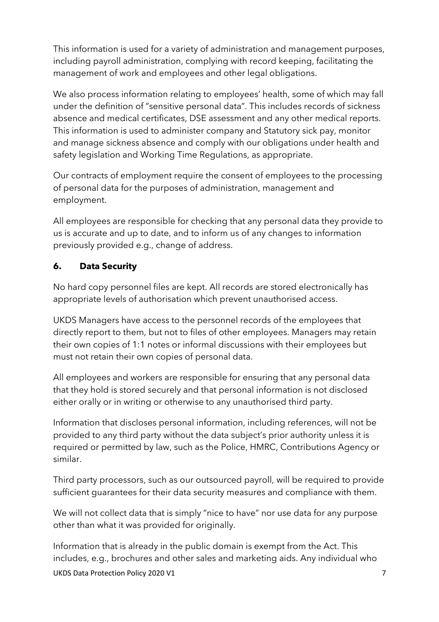This information is used for a variety of administration and management purposes, including payroll administration, complying with record keeping, facilitating the management of work and employees and other legal obligations.

We also process information relating to employees' health, some of which may fall under the definition of "sensitive personal data". This includes records of sickness absence and medical certificates, DSE assessment and any other medical reports. This information is used to administer company and Statutory sick pay, monitor and manage sickness absence and comply with our obligations under health and safety legislation and Working Time Regulations, as appropriate.

Our contracts of employment require the consent of employees to the processing of personal data for the purposes of administration, management and employment.

All employees are responsible for checking that any personal data they provide to us is accurate and up to date, and to inform us of any changes to information previously provided e.g., change of address.

## **6. Data Security**

No hard copy personnel files are kept. All records are stored electronically has appropriate levels of authorisation which prevent unauthorised access.

UKDS Managers have access to the personnel records of the employees that directly report to them, but not to files of other employees. Managers may retain their own copies of 1:1 notes or informal discussions with their employees but must not retain their own copies of personal data.

All employees and workers are responsible for ensuring that any personal data that they hold is stored securely and that personal information is not disclosed either orally or in writing or otherwise to any unauthorised third party.

Information that discloses personal information, including references, will not be provided to any third party without the data subject's prior authority unless it is required or permitted by law, such as the Police, HMRC, Contributions Agency or similar.

Third party processors, such as our outsourced payroll, will be required to provide sufficient guarantees for their data security measures and compliance with them.

We will not collect data that is simply "nice to have" nor use data for any purpose other than what it was provided for originally.

Information that is already in the public domain is exempt from the Act. This includes, e.g., brochures and other sales and marketing aids. Any individual who

UKDS Data Protection Policy 2020 V1 7